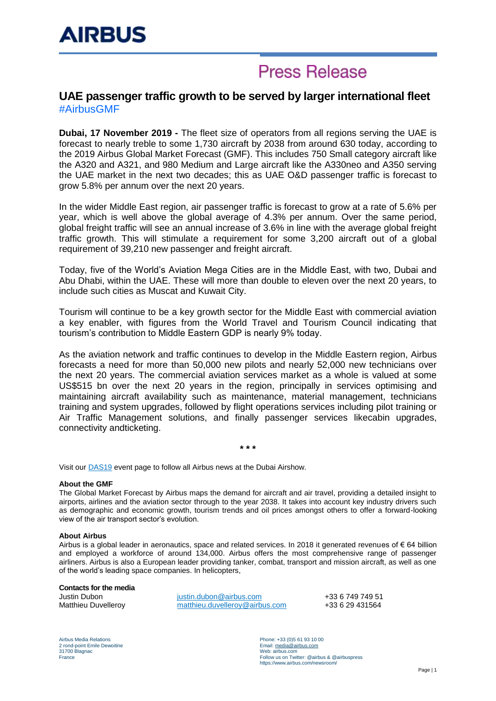## **Press Release**

### **UAE passenger traffic growth to be served by larger international fleet** #AirbusGMF

**Dubai, 17 November 2019 -** The fleet size of operators from all regions serving the UAE is forecast to nearly treble to some 1,730 aircraft by 2038 from around 630 today, according to the 2019 Airbus Global Market Forecast (GMF). This includes 750 Small category aircraft like the A320 and A321, and 980 Medium and Large aircraft like the A330neo and A350 serving the UAE market in the next two decades; this as UAE O&D passenger traffic is forecast to grow 5.8% per annum over the next 20 years.

In the wider Middle East region, air passenger traffic is forecast to grow at a rate of 5.6% per year, which is well above the global average of 4.3% per annum. Over the same period, global freight traffic will see an annual increase of 3.6% in line with the average global freight traffic growth. This will stimulate a requirement for some 3,200 aircraft out of a global requirement of 39,210 new passenger and freight aircraft.

Today, five of the World's Aviation Mega Cities are in the Middle East, with two, Dubai and Abu Dhabi, within the UAE. These will more than double to eleven over the next 20 years, to include such cities as Muscat and Kuwait City.

Tourism will continue to be a key growth sector for the Middle East with commercial aviation a key enabler, with figures from the World Travel and Tourism Council indicating that tourism's contribution to Middle Eastern GDP is nearly 9% today.

As the aviation network and traffic continues to develop in the Middle Eastern region, Airbus forecasts a need for more than 50,000 new pilots and nearly 52,000 new technicians over the next 20 years. The commercial aviation services market as a whole is valued at some US\$515 bn over the next 20 years in the region, principally in services optimising and maintaining aircraft availability such as maintenance, material management, technicians training and system upgrades, followed by flight operations services including pilot training or Air Traffic Management solutions, and finally passenger services likecabin upgrades, connectivity andticketing.

**\* \* \***

Visit our [DAS19](https://www.airbus.com/newsroom/events/dubai-airshow-2019.html) event page to follow all Airbus news at the Dubai Airshow.

#### **About the GMF**

The Global Market Forecast by Airbus maps the demand for aircraft and air travel, providing a detailed insight to airports, airlines and the aviation sector through to the year 2038. It takes into account key industry drivers such as demographic and economic growth, tourism trends and oil prices amongst others to offer a forward-looking view of the air transport sector's evolution.

#### **About Airbus**

Airbus is a global leader in aeronautics, space and related services. In 2018 it generated revenues of € 64 billion and employed a workforce of around 134,000. Airbus offers the most comprehensive range of passenger airliners. Airbus is also a European leader providing tanker, combat, transport and mission aircraft, as well as one of the world's leading space companies. In helicopters,

#### **Contacts for the media**

Justin Dubon [justin.dubon@airbus.com](mailto:justin.dubon@airbus.com) +33 6 749 749 51 Matthieu Duvelleroy [matthieu.duvelleroy@airbus.com](mailto:matthieu.duvelleroy@airbus.com) +33 6 29 431564

Airbus Media Relations 2 rond-point Emile Dewoitine 31700 Blagnac France

Phone: +33 (0)5 61 93 10 00 Email[: media@airbus.com](mailto:media@airbus.com) Web: airbus.com Follow us on Twitter: @airbus & @airbuspress https://www.airbus.com/newsroom/